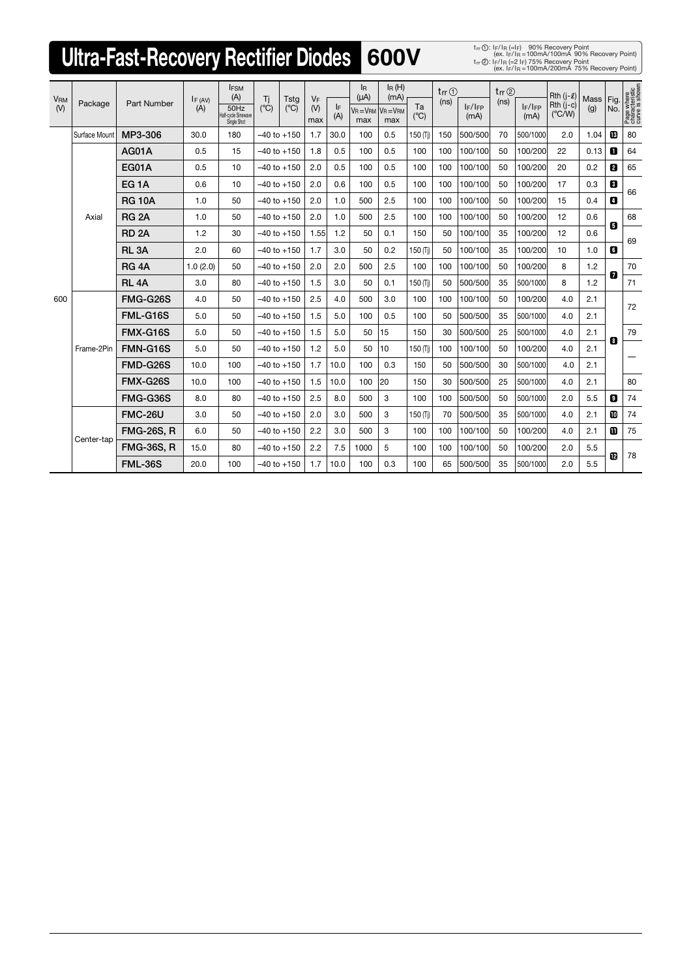## **Ultra-Fast-Recovery Rectifier Diodes** 600V

ex. IF/IR =100mA/100mA 90% Recovery Point))<br>t<sub>rr</sub> ②: IF/IR (=2 IF) 75% Recovery Point<br>ex. IF/IR =100mA/200mA 75% Recovery Point)) 1 2

| <b>VRM</b><br>(V) | Package       | <b>Part Number</b> | IF (AV)<br>(A) | <b>IFSM</b><br>(A)<br>50Hz<br>Half-cycle Sinewave<br>Single Shot | Ti<br>$(^{\circ}C)$ | <b>Tstg</b><br>$(^{\circ}C)$ | <b>VF</b>                                   |           | <sup>IR</sup><br>$(\mu A)$ | $I_R(H)$<br>(mA)      |           | $tr \odot$ | tr(z)                |      |                      | Rth $(i-\ell)$                 | Mass $ Fig.$ |     |                                                |
|-------------------|---------------|--------------------|----------------|------------------------------------------------------------------|---------------------|------------------------------|---------------------------------------------|-----------|----------------------------|-----------------------|-----------|------------|----------------------|------|----------------------|--------------------------------|--------------|-----|------------------------------------------------|
|                   |               |                    |                |                                                                  |                     |                              | $($ <sup><math>\vee</math></sup> $)$<br>max | IF<br>(A) | $V_R = V_{RM}$<br>max      | $V_R = V_{RM}$<br>max | Ta<br>(C) | (ns)       | $I_F/I_{FP}$<br>(mA) | (ns) | $I_F/I_{FP}$<br>(mA) | $Rth (j-c)$<br>$(^{\circ}C/W)$ | (g)          | No. | Page where<br>characteristic<br>curve is shown |
| 600               | Surface Mount | MP3-306            | 30.0           | 180                                                              | $-40$ to $+150$     |                              | 1.7                                         | 30.0      | 100                        | 0.5                   | 150 (Ti)  | 150        | 500/500              | 70   | 500/1000             | 2.0                            | 1.04         | 咽   | 80                                             |
|                   | Axial         | AG01A              | 0.5            | 15                                                               | $-40$ to $+150$     |                              | 1.8                                         | 0.5       | 100                        | 0.5                   | 100       | 100        | 100/100              | 50   | 100/200              | 22                             | 0.13         | 0   | 64                                             |
|                   |               | <b>EG01A</b>       | 0.5            | 10                                                               | $-40$ to $+150$     |                              | 2.0                                         | 0.5       | 100                        | 0.5                   | 100       | 100        | 100/100              | 50   | 100/200              | 20                             | 0.2          | 8   | 65                                             |
|                   |               | EG <sub>1</sub> A  | 0.6            | 10                                                               | $-40$ to $+150$     |                              | 2.0                                         | 0.6       | 100                        | 0.5                   | 100       | 100        | 100/100              | 50   | 100/200              | 17                             | 0.3          | 8   | 66                                             |
|                   |               | <b>RG 10A</b>      | 1.0            | 50                                                               | $-40$ to $+150$     |                              | 2.0                                         | 1.0       | 500                        | 2.5                   | 100       | 100        | 100/100              | 50   | 100/200              | 15                             | 0.4          | O   |                                                |
|                   |               | <b>RG 2A</b>       | 1.0            | 50                                                               | $-40$ to $+150$     |                              | 2.0                                         | 1.0       | 500                        | 2.5                   | 100       | 100        | 100/100              | 50   | 100/200              | 12                             | 0.6          | 8   | 68                                             |
|                   |               | <b>RD 2A</b>       | 1.2            | 30                                                               | $-40$ to $+150$     |                              | 1.55                                        | 1.2       | 50                         | 0.1                   | 150       | 50         | 100/100              | 35   | 100/200              | 12                             | 0.6          |     | 69                                             |
|                   |               | RL <sub>3</sub> A  | 2.0            | 60                                                               | $-40$ to $+150$     |                              | 1.7                                         | 3.0       | 50                         | 0.2                   | 150 (Tj)  | 50         | 100/100              | 35   | 100/200              | 10                             | 1.0          | 6   |                                                |
|                   |               | RG <sub>4</sub> A  | 1.0(2.0)       | 50                                                               | $-40$ to $+150$     |                              | 2.0                                         | 2.0       | 500                        | 2.5                   | 100       | 100        | 100/100              | 50   | 100/200              | 8                              | 1.2<br>1.2   | 0   | 70                                             |
|                   |               | <b>RL 4A</b>       | 3.0            | 80                                                               | $-40$ to $+150$     |                              | 1.5                                         | 3.0       | 50                         | 0.1                   | 150 (Tj)  | 50         | 500/500              | 35   | 500/1000             | 8                              |              |     | 71                                             |
|                   | Frame-2Pin    | FMG-G26S           | 4.0            | 50                                                               | $-40$ to $+150$     |                              | 2.5                                         | 4.0       | 500                        | 3.0                   | 100       | 100        | 100/100              | 50   | 100/200              | 4.0                            | 2.1          |     | 72                                             |
|                   |               | FML-G16S           | 5.0            | 50                                                               |                     | 1.5<br>$-40$ to $+150$       |                                             | 5.0       | 100                        | 0.5                   | 100       | 50         | 500/500              | 35   | 500/1000             | 4.0                            | 2.1          |     |                                                |
|                   |               | FMX-G16S           | 5.0            | 50                                                               | $-40$ to $+150$     |                              | 1.5                                         | 5.0       | 50                         | 15                    | 150       | 30         | 500/500              | 25   | 500/1000             | 4.0                            | 2.1          | 8   | 79                                             |
|                   |               | FMN-G16S           | 5.0            | 50                                                               | $-40$ to $+150$     |                              | 1.2                                         | 5.0       | 50                         | 10                    | 150 (Ti)  | 100        | 100/100              | 50   | 100/200              | 4.0                            | 2.1          |     |                                                |
|                   |               | FMD-G26S           | 10.0           | 100                                                              |                     | $-40$ to $+150$              |                                             | 10.0      | 100                        | 0.3                   | 150       | 50         | 500/500              | 30   | 500/1000             | 4.0                            | 2.1          |     |                                                |
|                   |               | FMX-G26S           | 10.0           | 100                                                              |                     | 1.5<br>$-40$ to $+150$       |                                             | 10.0      | 100                        | 20                    | 150       | 30         | 500/500              | 25   | 500/1000             | 4.0                            | 2.1          |     | 80                                             |
|                   |               | FMG-G36S           | 8.0            | 80                                                               |                     | $-40$ to $+150$              | 2.5                                         | 8.0       | 500                        | 3                     | 100       | 100        | 500/500              | 50   | 500/1000             | 2.0                            | 5.5          | 0   | 74                                             |
|                   | Center-tap    | <b>FMC-26U</b>     | 3.0            | 50                                                               |                     | $-40$ to $+150$              | 2.0                                         | 3.0       | 500                        | 3                     | 150 (Tj)  | 70         | 500/500              | 35   | 500/1000             | 4.0                            | 2.1          | m   | 74                                             |
|                   |               | <b>FMG-26S, R</b>  | 6.0            | 50                                                               |                     | $-40$ to $+150$              | 2.2                                         | 3.0       | 500                        | 3                     | 100       | 100        | 100/100              | 50   | 100/200              | 4.0                            | 2.1          | ▥   | 75                                             |
|                   |               | <b>FMG-36S, R</b>  | 15.0           | 80                                                               |                     | $-40$ to $+150$              | 2.2                                         | 7.5       | 1000                       | 5                     | 100       | 100        | 100/100              | 50   | 100/200              | 2.0                            | 5.5          | œ   | 78                                             |
|                   |               | <b>FML-36S</b>     | 20.0           | 100                                                              |                     | $-40$ to $+150$              | 1.7                                         | 10.0      | 100                        | 0.3                   | 100       | 65         | 500/500              | 35   | 500/1000             | 2.0                            | 5.5          |     |                                                |